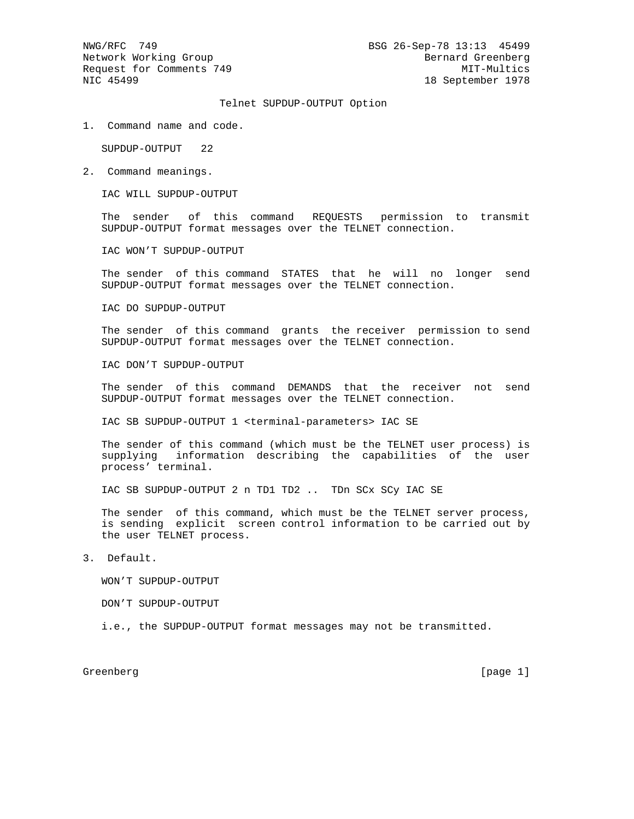## Telnet SUPDUP-OUTPUT Option

1. Command name and code.

SUPDUP-OUTPUT 22

2. Command meanings.

IAC WILL SUPDUP-OUTPUT

 The sender of this command REQUESTS permission to transmit SUPDUP-OUTPUT format messages over the TELNET connection.

IAC WON'T SUPDUP-OUTPUT

 The sender of this command STATES that he will no longer send SUPDUP-OUTPUT format messages over the TELNET connection.

IAC DO SUPDUP-OUTPUT

 The sender of this command grants the receiver permission to send SUPDUP-OUTPUT format messages over the TELNET connection.

IAC DON'T SUPDUP-OUTPUT

 The sender of this command DEMANDS that the receiver not send SUPDUP-OUTPUT format messages over the TELNET connection.

IAC SB SUPDUP-OUTPUT 1 <terminal-parameters> IAC SE

 The sender of this command (which must be the TELNET user process) is supplying information describing the capabilities of the user process' terminal.

IAC SB SUPDUP-OUTPUT 2 n TD1 TD2 .. TDn SCx SCy IAC SE

 The sender of this command, which must be the TELNET server process, is sending explicit screen control information to be carried out by the user TELNET process.

3. Default.

WON'T SUPDUP-OUTPUT

DON'T SUPDUP-OUTPUT

i.e., the SUPDUP-OUTPUT format messages may not be transmitted.

Greenberg [page 1]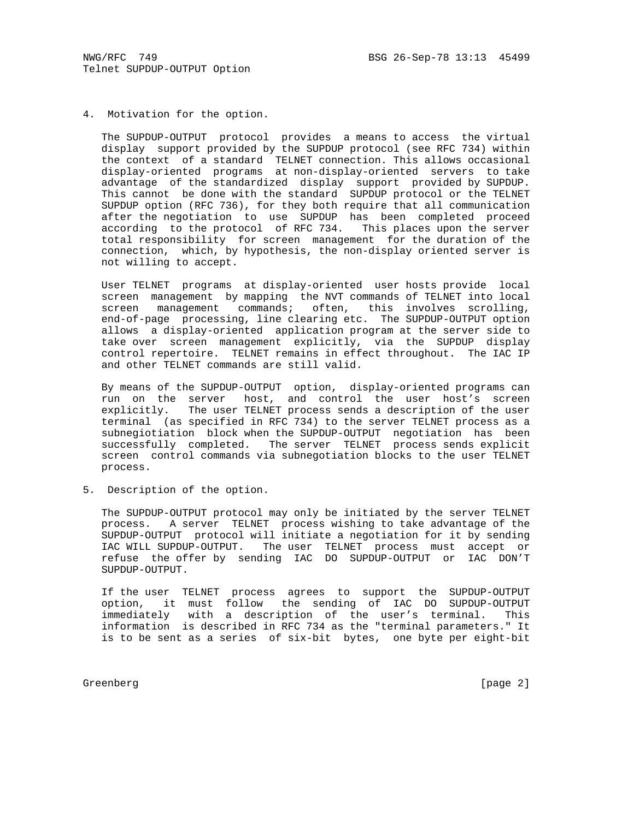4. Motivation for the option.

 The SUPDUP-OUTPUT protocol provides a means to access the virtual display support provided by the SUPDUP protocol (see RFC 734) within the context of a standard TELNET connection. This allows occasional display-oriented programs at non-display-oriented servers to take advantage of the standardized display support provided by SUPDUP. This cannot be done with the standard SUPDUP protocol or the TELNET SUPDUP option (RFC 736), for they both require that all communication after the negotiation to use SUPDUP has been completed proceed according to the protocol of RFC 734. This places upon the server total responsibility for screen management for the duration of the connection, which, by hypothesis, the non-display oriented server is not willing to accept.

 User TELNET programs at display-oriented user hosts provide local screen management by mapping the NVT commands of TELNET into local screen management commands; often, this involves scrolling, end-of-page processing, line clearing etc. The SUPDUP-OUTPUT option allows a display-oriented application program at the server side to take over screen management explicitly, via the SUPDUP display control repertoire. TELNET remains in effect throughout. The IAC IP and other TELNET commands are still valid.

 By means of the SUPDUP-OUTPUT option, display-oriented programs can run on the server host, and control the user host's screen explicitly. The user TELNET process sends a description of the user terminal (as specified in RFC 734) to the server TELNET process as a subnegiotiation block when the SUPDUP-OUTPUT negotiation has been successfully completed. The server TELNET process sends explicit screen control commands via subnegotiation blocks to the user TELNET process.

5. Description of the option.

 The SUPDUP-OUTPUT protocol may only be initiated by the server TELNET process. A server TELNET process wishing to take advantage of the SUPDUP-OUTPUT protocol will initiate a negotiation for it by sending IAC WILL SUPDUP-OUTPUT. The user TELNET process must accept or refuse the offer by sending IAC DO SUPDUP-OUTPUT or IAC DON'T SUPDUP-OUTPUT.

 If the user TELNET process agrees to support the SUPDUP-OUTPUT option, it must follow the sending of IAC DO SUPDUP-OUTPUT immediately with a description of the user's terminal. This information is described in RFC 734 as the "terminal parameters." It is to be sent as a series of six-bit bytes, one byte per eight-bit

Greenberg [page 2]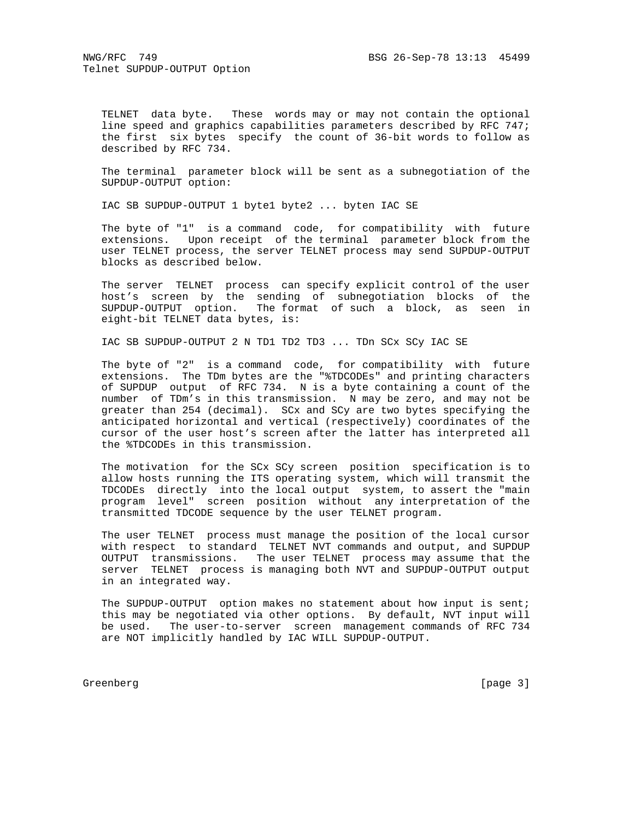TELNET data byte. These words may or may not contain the optional line speed and graphics capabilities parameters described by RFC 747; the first six bytes specify the count of 36-bit words to follow as described by RFC 734.

 The terminal parameter block will be sent as a subnegotiation of the SUPDUP-OUTPUT option:

IAC SB SUPDUP-OUTPUT 1 byte1 byte2 ... byten IAC SE

 The byte of "1" is a command code, for compatibility with future extensions. Upon receipt of the terminal parameter block from the user TELNET process, the server TELNET process may send SUPDUP-OUTPUT blocks as described below.

 The server TELNET process can specify explicit control of the user host's screen by the sending of subnegotiation blocks of the SUPDUP-OUTPUT option. The format of such a block, as seen in eight-bit TELNET data bytes, is:

IAC SB SUPDUP-OUTPUT 2 N TD1 TD2 TD3 ... TDn SCx SCy IAC SE

 The byte of "2" is a command code, for compatibility with future extensions. The TDm bytes are the "%TDCODEs" and printing characters of SUPDUP output of RFC 734. N is a byte containing a count of the number of TDm's in this transmission. N may be zero, and may not be greater than 254 (decimal). SCx and SCy are two bytes specifying the anticipated horizontal and vertical (respectively) coordinates of the cursor of the user host's screen after the latter has interpreted all the %TDCODEs in this transmission.

 The motivation for the SCx SCy screen position specification is to allow hosts running the ITS operating system, which will transmit the TDCODEs directly into the local output system, to assert the "main program level" screen position without any interpretation of the transmitted TDCODE sequence by the user TELNET program.

 The user TELNET process must manage the position of the local cursor with respect to standard TELNET NVT commands and output, and SUPDUP OUTPUT transmissions. The user TELNET process may assume that the server TELNET process is managing both NVT and SUPDUP-OUTPUT output in an integrated way.

 The SUPDUP-OUTPUT option makes no statement about how input is sent; this may be negotiated via other options. By default, NVT input will be used. The user-to-server screen management commands of RFC 734 are NOT implicitly handled by IAC WILL SUPDUP-OUTPUT.

Greenberg [page 3]